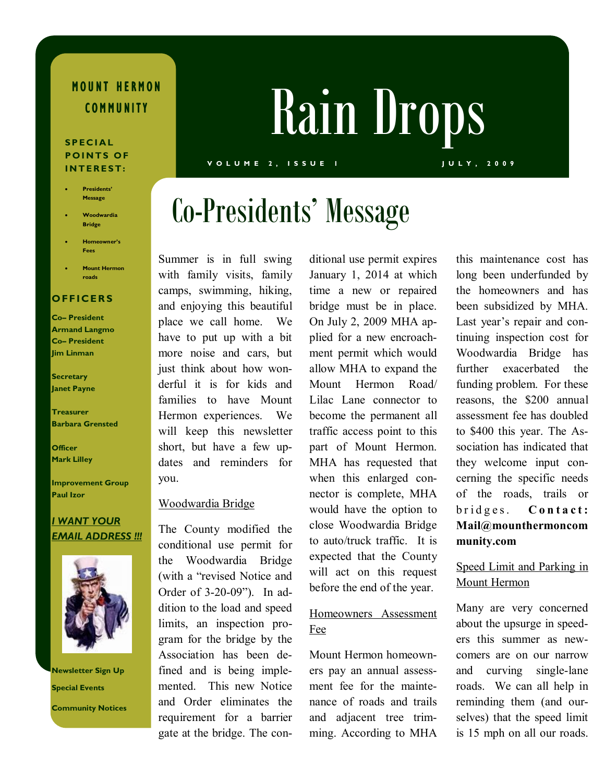# MOUNT HERMON

#### S P E C I A L POINTS OF INTEREST:

- Presidents' Message
- Woodwardia Bridge
- Homeowner's Fees
- **Mount Hermon** roads

#### **OFFICERS**

Co– President Armand Langmo Co– President Jim Linman

**Secretary** Janet Payne

Treasurer Barbara Grensted

**Officer** Mark Lilley

Improvement Group Paul Izor

#### I WANT YOUR EMAIL ADDRESS !!!



Newsletter Sign Up Special Events Community Notices

# COMMUNITY Rain Drops

#### V O L U M E 2 , I S S U E 1 J U L Y , 2 0 0 9

# Co-Presidents' Message

Summer is in full swing with family visits, family camps, swimming, hiking, and enjoying this beautiful place we call home. We have to put up with a bit more noise and cars, but just think about how wonderful it is for kids and families to have Mount Hermon experiences. We will keep this newsletter short, but have a few updates and reminders for you.

#### Woodwardia Bridge

The County modified the conditional use permit for the Woodwardia Bridge (with a "revised Notice and Order of 3-20-09"). In addition to the load and speed limits, an inspection program for the bridge by the Association has been defined and is being implemented. This new Notice and Order eliminates the requirement for a barrier gate at the bridge. The conditional use permit expires January 1, 2014 at which time a new or repaired bridge must be in place. On July 2, 2009 MHA applied for a new encroachment permit which would allow MHA to expand the Mount Hermon Road/ Lilac Lane connector to become the permanent all traffic access point to this part of Mount Hermon. MHA has requested that when this enlarged connector is complete, MHA would have the option to close Woodwardia Bridge to auto/truck traffic. It is expected that the County will act on this request before the end of the year.

#### Homeowners Assessment Fee

Mount Hermon homeowners pay an annual assessment fee for the maintenance of roads and trails and adjacent tree trimming. According to MHA this maintenance cost has long been underfunded by the homeowners and has been subsidized by MHA. Last year's repair and continuing inspection cost for Woodwardia Bridge has further exacerbated the funding problem. For these reasons, the \$200 annual assessment fee has doubled to \$400 this year. The Association has indicated that they welcome input concerning the specific needs of the roads, trails or bridges. Contact: Mail@mounthermoncom munity.com

### Speed Limit and Parking in Mount Hermon

Many are very concerned about the upsurge in speeders this summer as newcomers are on our narrow and curving single-lane roads. We can all help in reminding them (and ourselves) that the speed limit is 15 mph on all our roads.